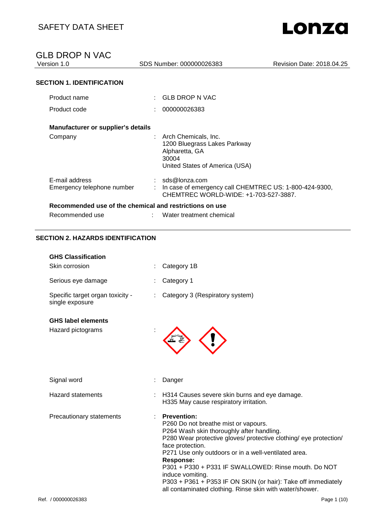SDS Number: 000000026383 Revision Date: 2018.04.25

### **SECTION 1. IDENTIFICATION**

| Product name                                            | $\colon$ GLB DROP N VAC                                                                                              |
|---------------------------------------------------------|----------------------------------------------------------------------------------------------------------------------|
| Product code                                            | 000000026383                                                                                                         |
| Manufacturer or supplier's details                      |                                                                                                                      |
| Company                                                 | : Arch Chemicals, Inc.<br>1200 Bluegrass Lakes Parkway<br>Alpharetta, GA<br>30004<br>United States of America (USA)  |
| E-mail address<br>Emergency telephone number            | $:$ sds@lonza.com<br>In case of emergency call CHEMTREC US: 1-800-424-9300,<br>CHEMTREC WORLD-WIDE: +1-703-527-3887. |
| Recommended use of the chemical and restrictions on use |                                                                                                                      |
| Recommended use                                         | Water treatment chemical                                                                                             |

### **SECTION 2. HAZARDS IDENTIFICATION**

| <b>GHS Classification</b><br>Skin corrosion         | Category 1B                                                                                                                                                                                                                                                                                                                                                                                                                                                                           |
|-----------------------------------------------------|---------------------------------------------------------------------------------------------------------------------------------------------------------------------------------------------------------------------------------------------------------------------------------------------------------------------------------------------------------------------------------------------------------------------------------------------------------------------------------------|
| Serious eye damage                                  | Category 1                                                                                                                                                                                                                                                                                                                                                                                                                                                                            |
| Specific target organ toxicity -<br>single exposure | Category 3 (Respiratory system)                                                                                                                                                                                                                                                                                                                                                                                                                                                       |
| <b>GHS label elements</b><br>Hazard pictograms      |                                                                                                                                                                                                                                                                                                                                                                                                                                                                                       |
| Signal word                                         | Danger                                                                                                                                                                                                                                                                                                                                                                                                                                                                                |
| <b>Hazard statements</b>                            | H314 Causes severe skin burns and eye damage.<br>H335 May cause respiratory irritation.                                                                                                                                                                                                                                                                                                                                                                                               |
| Precautionary statements                            | <b>Prevention:</b><br>P260 Do not breathe mist or vapours.<br>P264 Wash skin thoroughly after handling.<br>P280 Wear protective gloves/ protective clothing/ eye protection/<br>face protection.<br>P271 Use only outdoors or in a well-ventilated area.<br><b>Response:</b><br>P301 + P330 + P331 IF SWALLOWED: Rinse mouth. Do NOT<br>induce vomiting.<br>P303 + P361 + P353 IF ON SKIN (or hair): Take off immediately<br>all contaminated clothing. Rinse skin with water/shower. |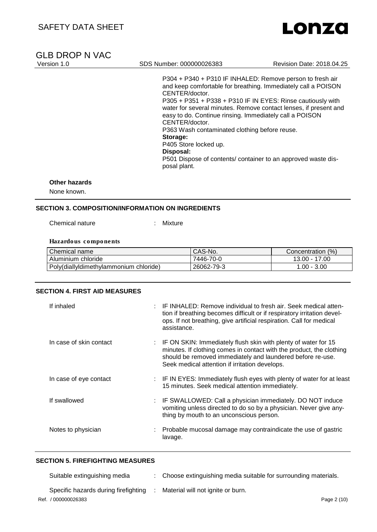# **GLB DROP N VAC**<br>Version 1.0

### SDS Number: 000000026383 Revision Date: 2018.04.25

P304 + P340 + P310 IF INHALED: Remove person to fresh air and keep comfortable for breathing. Immediately call a POISON CENTER/doctor. P305 + P351 + P338 + P310 IF IN EYES: Rinse cautiously with water for several minutes. Remove contact lenses, if present and easy to do. Continue rinsing. Immediately call a POISON CENTER/doctor. P363 Wash contaminated clothing before reuse. **Storage:**  P405 Store locked up. **Disposal:**  P501 Dispose of contents/ container to an approved waste disposal plant.

#### **Other hazards**

None known.

### **SECTION 3. COMPOSITION/INFORMATION ON INGREDIENTS**

Chemical nature : Mixture

#### **Hazardous components**

| Chemical name                          | CAS-No.    | (% )<br>Concentration |
|----------------------------------------|------------|-----------------------|
| Aluminium chloride                     | 7446-70-0  | 13.00 - 17.00         |
| Poly(diallyldimethylammonium chloride) | 26062-79-3 | 1.00 - 3.00           |

### **SECTION 4. FIRST AID MEASURES**

| If inhaled              | IF INHALED: Remove individual to fresh air. Seek medical atten-<br>tion if breathing becomes difficult or if respiratory irritation devel-<br>ops. If not breathing, give artificial respiration. Call for medical<br>assistance.                        |
|-------------------------|----------------------------------------------------------------------------------------------------------------------------------------------------------------------------------------------------------------------------------------------------------|
| In case of skin contact | : IF ON SKIN: Immediately flush skin with plenty of water for 15<br>minutes. If clothing comes in contact with the product, the clothing<br>should be removed immediately and laundered before re-use.<br>Seek medical attention if irritation develops. |
| In case of eye contact  | : IF IN EYES: Immediately flush eyes with plenty of water for at least<br>15 minutes. Seek medical attention immediately.                                                                                                                                |
| If swallowed            | : IF SWALLOWED: Call a physician immediately. DO NOT induce<br>vomiting unless directed to do so by a physician. Never give any-<br>thing by mouth to an unconscious person.                                                                             |
| Notes to physician      | : Probable mucosal damage may contraindicate the use of gastric<br>lavage.                                                                                                                                                                               |

## **SECTION 5. FIREFIGHTING MEASURES**

| Suitable extinguishing media         | Choose extinguishing media suitable for surrounding materials. |
|--------------------------------------|----------------------------------------------------------------|
| Specific hazards during firefighting | Material will not ignite or burn.                              |
| Ref. / 000000026383                  | Page 2 (10)                                                    |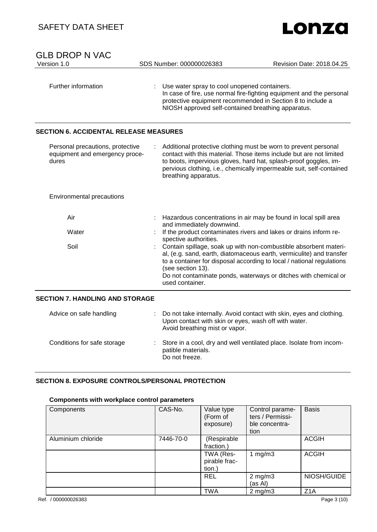| Lonza |
|-------|
|       |

| <b>GLB DROP N VAC</b><br>Version 1.0                                        | SDS Number: 000000026383                                                                                                                                         | Revision Date: 2018.04.25                                                                                                                                                                                                                                                            |
|-----------------------------------------------------------------------------|------------------------------------------------------------------------------------------------------------------------------------------------------------------|--------------------------------------------------------------------------------------------------------------------------------------------------------------------------------------------------------------------------------------------------------------------------------------|
| Further information                                                         | Use water spray to cool unopened containers.<br>protective equipment recommended in Section 8 to include a<br>NIOSH approved self-contained breathing apparatus. | In case of fire, use normal fire-fighting equipment and the personal                                                                                                                                                                                                                 |
| <b>SECTION 6. ACCIDENTAL RELEASE MEASURES</b>                               |                                                                                                                                                                  |                                                                                                                                                                                                                                                                                      |
| Personal precautions, protective<br>equipment and emergency proce-<br>dures | breathing apparatus.                                                                                                                                             | Additional protective clothing must be worn to prevent personal<br>contact with this material. Those items include but are not limited<br>to boots, impervious gloves, hard hat, splash-proof goggles, im-<br>pervious clothing, i.e., chemically impermeable suit, self-contained   |
| Environmental precautions                                                   |                                                                                                                                                                  |                                                                                                                                                                                                                                                                                      |
| Air                                                                         | and immediately downwind.                                                                                                                                        | Hazardous concentrations in air may be found in local spill area                                                                                                                                                                                                                     |
| Water                                                                       | spective authorities.                                                                                                                                            | If the product contaminates rivers and lakes or drains inform re-                                                                                                                                                                                                                    |
| Soil                                                                        | (see section 13).<br>used container.                                                                                                                             | Contain spillage, soak up with non-combustible absorbent materi-<br>al, (e.g. sand, earth, diatomaceous earth, vermiculite) and transfer<br>to a container for disposal according to local / national regulations<br>Do not contaminate ponds, waterways or ditches with chemical or |
| <b>SECTION 7. HANDLING AND STORAGE</b>                                      |                                                                                                                                                                  |                                                                                                                                                                                                                                                                                      |
| Advice on safe handling                                                     | Upon contact with skin or eyes, wash off with water.<br>Avoid breathing mist or vapor.                                                                           | Do not take internally. Avoid contact with skin, eyes and clothing.                                                                                                                                                                                                                  |
| Conditions for safe storage                                                 | patible materials.                                                                                                                                               | Store in a cool, dry and well ventilated place. Isolate from incom-                                                                                                                                                                                                                  |

## **SECTION 8. EXPOSURE CONTROLS/PERSONAL PROTECTION**

### **Components with workplace control parameters**

| Components         | CAS-No.   | Value type<br>(Form of<br>exposure)  | Control parame-<br>ters / Permissi-<br>ble concentra-<br>tion | <b>Basis</b>     |
|--------------------|-----------|--------------------------------------|---------------------------------------------------------------|------------------|
| Aluminium chloride | 7446-70-0 | (Respirable<br>fraction.)            |                                                               | <b>ACGIH</b>     |
|                    |           | TWA (Res-<br>pirable frac-<br>tion.) | mg/m3                                                         | <b>ACGIH</b>     |
|                    |           | <b>REL</b>                           | $2$ mg/m $3$<br>(as Al)                                       | NIOSH/GUIDE      |
|                    |           | <b>TWA</b>                           | $2 \text{ mg/m}$                                              | Z <sub>1</sub> A |

Do not freeze.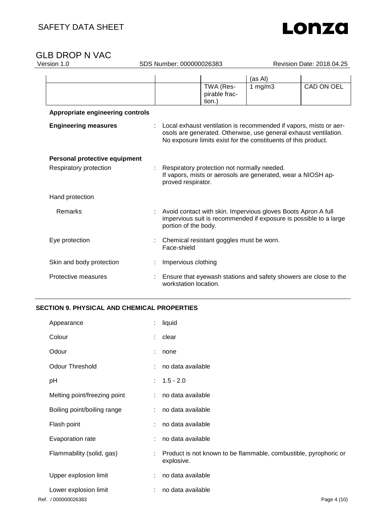

| sion 1.0                                                |                       | SDS Number: 000000026383                                                                                                                                   |                                                                                                                                                                                                         | Revision Date: 2018.04.25 |  |
|---------------------------------------------------------|-----------------------|------------------------------------------------------------------------------------------------------------------------------------------------------------|---------------------------------------------------------------------------------------------------------------------------------------------------------------------------------------------------------|---------------------------|--|
|                                                         |                       |                                                                                                                                                            | (as Al)                                                                                                                                                                                                 |                           |  |
|                                                         |                       | TWA (Res-<br>pirable frac-<br>tion.)                                                                                                                       | 1 mg/m $\overline{3}$                                                                                                                                                                                   | <b>CAD ON OEL</b>         |  |
| Appropriate engineering controls                        |                       |                                                                                                                                                            |                                                                                                                                                                                                         |                           |  |
| <b>Engineering measures</b>                             |                       |                                                                                                                                                            | Local exhaust ventilation is recommended if vapors, mists or aer-<br>osols are generated. Otherwise, use general exhaust ventilation.<br>No exposure limits exist for the constituents of this product. |                           |  |
| Personal protective equipment<br>Respiratory protection | proved respirator.    | Respiratory protection not normally needed.                                                                                                                | If vapors, mists or aerosols are generated, wear a NIOSH ap-                                                                                                                                            |                           |  |
| Hand protection                                         |                       |                                                                                                                                                            |                                                                                                                                                                                                         |                           |  |
| Remarks                                                 |                       | Avoid contact with skin. Impervious gloves Boots Apron A full<br>impervious suit is recommended if exposure is possible to a large<br>portion of the body. |                                                                                                                                                                                                         |                           |  |
| Eye protection                                          | Face-shield           | Chemical resistant goggles must be worn.                                                                                                                   |                                                                                                                                                                                                         |                           |  |
| Skin and body protection                                | Impervious clothing   |                                                                                                                                                            |                                                                                                                                                                                                         |                           |  |
| Protective measures                                     | workstation location. |                                                                                                                                                            | Ensure that eyewash stations and safety showers are close to the                                                                                                                                        |                           |  |

### **SECTION 9. PHYSICAL AND CHEMICAL PROPERTIES**

| Appearance                   | liquid<br>÷                                                                    |
|------------------------------|--------------------------------------------------------------------------------|
| Colour                       | $:$ clear                                                                      |
| Odour                        | : none                                                                         |
| <b>Odour Threshold</b>       | no data available                                                              |
| pH                           | $: 1.5 - 2.0$                                                                  |
| Melting point/freezing point | : no data available                                                            |
| Boiling point/boiling range  | : no data available                                                            |
| Flash point                  | no data available                                                              |
| Evaporation rate             | no data available                                                              |
| Flammability (solid, gas)    | Product is not known to be flammable, combustible, pyrophoric or<br>explosive. |
| Upper explosion limit        | no data available<br>÷                                                         |
| Lower explosion limit        | no data available                                                              |
| Ref. / 000000026383          | Page 4 (10)                                                                    |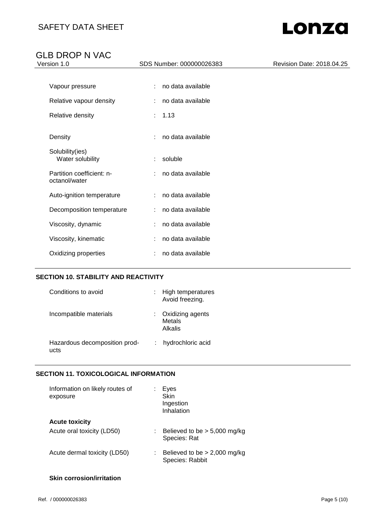# GLB DROP N VAC

| -- - - - -<br>.<br>Version 1.0             | SDS Number: 000000026383 | Revision Date: 2018.04.25 |
|--------------------------------------------|--------------------------|---------------------------|
|                                            |                          |                           |
| Vapour pressure                            | no data available<br>÷   |                           |
| Relative vapour density                    | no data available        |                           |
| Relative density                           | : 1.13                   |                           |
| Density                                    | no data available<br>÷.  |                           |
| Solubility(ies)<br>Water solubility        | : soluble                |                           |
| Partition coefficient: n-<br>octanol/water | no data available        |                           |
| Auto-ignition temperature                  | : no data available      |                           |
| Decomposition temperature                  | : no data available      |                           |
| Viscosity, dynamic                         | no data available        |                           |
| Viscosity, kinematic                       | no data available        |                           |
| Oxidizing properties                       | no data available        |                           |

### **SECTION 10. STABILITY AND REACTIVITY**

| Conditions to avoid                   | High temperatures<br>Avoid freezing.  |
|---------------------------------------|---------------------------------------|
| Incompatible materials                | Oxidizing agents<br>Metals<br>Alkalis |
| Hazardous decomposition prod-<br>ucts | hydrochloric acid                     |

## **SECTION 11. TOXICOLOGICAL INFORMATION**

| Eyes<br>Skin<br>Ingestion<br>Inhalation           |
|---------------------------------------------------|
|                                                   |
| Believed to be $> 5,000$ mg/kg<br>Species: Rat    |
| Believed to be $> 2,000$ mg/kg<br>Species: Rabbit |
|                                                   |

### **Skin corrosion/irritation**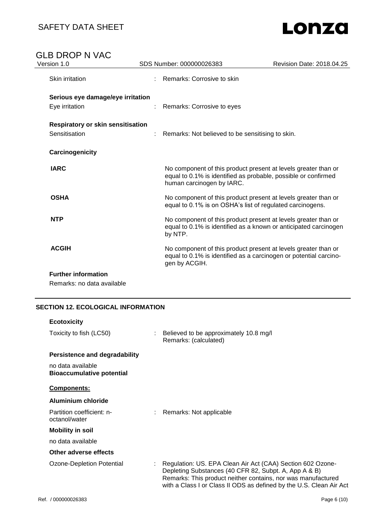# GLB DROP N VAC<br>Version 1.0

| Version 1.0                              | SDS Number: 000000026383                                                                                                                                      | Revision Date: 2018.04.25                                         |
|------------------------------------------|---------------------------------------------------------------------------------------------------------------------------------------------------------------|-------------------------------------------------------------------|
| Skin irritation                          | Remarks: Corrosive to skin                                                                                                                                    |                                                                   |
| Serious eye damage/eye irritation        |                                                                                                                                                               |                                                                   |
| Eye irritation                           | Remarks: Corrosive to eyes                                                                                                                                    |                                                                   |
| <b>Respiratory or skin sensitisation</b> |                                                                                                                                                               |                                                                   |
| Sensitisation                            | Remarks: Not believed to be sensitising to skin.                                                                                                              |                                                                   |
| Carcinogenicity                          |                                                                                                                                                               |                                                                   |
| <b>IARC</b>                              | No component of this product present at levels greater than or<br>equal to 0.1% is identified as probable, possible or confirmed<br>human carcinogen by IARC. |                                                                   |
| <b>OSHA</b>                              | No component of this product present at levels greater than or<br>equal to 0.1% is on OSHA's list of regulated carcinogens.                                   |                                                                   |
| <b>NTP</b>                               | No component of this product present at levels greater than or<br>by NTP.                                                                                     | equal to 0.1% is identified as a known or anticipated carcinogen  |
| <b>ACGIH</b>                             | No component of this product present at levels greater than or<br>gen by ACGIH.                                                                               | equal to 0.1% is identified as a carcinogen or potential carcino- |
| <b>Further information</b>               |                                                                                                                                                               |                                                                   |

Remarks: no data available

### **SECTION 12. ECOLOGICAL INFORMATION**

| <b>Ecotoxicity</b>                                    |                                                                                                                                                                                                                                                            |
|-------------------------------------------------------|------------------------------------------------------------------------------------------------------------------------------------------------------------------------------------------------------------------------------------------------------------|
| Toxicity to fish (LC50)                               | Believed to be approximately 10.8 mg/l<br>Remarks: (calculated)                                                                                                                                                                                            |
| Persistence and degradability                         |                                                                                                                                                                                                                                                            |
| no data available<br><b>Bioaccumulative potential</b> |                                                                                                                                                                                                                                                            |
| <b>Components:</b>                                    |                                                                                                                                                                                                                                                            |
| Aluminium chloride                                    |                                                                                                                                                                                                                                                            |
| Partition coefficient: n-<br>octanol/water            | Remarks: Not applicable                                                                                                                                                                                                                                    |
| <b>Mobility in soil</b>                               |                                                                                                                                                                                                                                                            |
| no data available                                     |                                                                                                                                                                                                                                                            |
| Other adverse effects                                 |                                                                                                                                                                                                                                                            |
| Ozone-Depletion Potential                             | Regulation: US. EPA Clean Air Act (CAA) Section 602 Ozone-<br>Depleting Substances (40 CFR 82, Subpt. A, App A & B)<br>Remarks: This product neither contains, nor was manufactured<br>with a Class I or Class II ODS as defined by the U.S. Clean Air Act |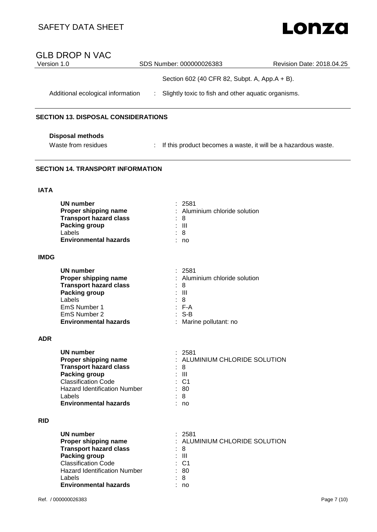# SAFETY DATA SHEET

# Lonza

| Version 1.0 | <b>GLB DROP N VAC</b>                                             |               | SDS Number: 000000026383                            | Revision Date: 2018.04.25                                        |
|-------------|-------------------------------------------------------------------|---------------|-----------------------------------------------------|------------------------------------------------------------------|
|             |                                                                   |               | Section 602 (40 CFR 82, Subpt. A, App.A + B).       |                                                                  |
|             | Additional ecological information                                 | $\mathcal{L}$ | Slightly toxic to fish and other aquatic organisms. |                                                                  |
|             |                                                                   |               |                                                     |                                                                  |
|             | <b>SECTION 13. DISPOSAL CONSIDERATIONS</b>                        |               |                                                     |                                                                  |
|             | <b>Disposal methods</b>                                           |               |                                                     |                                                                  |
|             | Waste from residues                                               |               |                                                     | : If this product becomes a waste, it will be a hazardous waste. |
|             | <b>SECTION 14. TRANSPORT INFORMATION</b>                          |               |                                                     |                                                                  |
| <b>IATA</b> |                                                                   |               |                                                     |                                                                  |
|             | <b>UN number</b>                                                  |               | : 2581                                              |                                                                  |
|             | Proper shipping name<br><b>Transport hazard class</b>             |               | : Aluminium chloride solution<br>8                  |                                                                  |
|             | <b>Packing group</b>                                              |               | : III                                               |                                                                  |
|             | Labels<br><b>Environmental hazards</b>                            |               | 8<br>: no                                           |                                                                  |
| <b>IMDG</b> |                                                                   |               |                                                     |                                                                  |
|             | <b>UN number</b>                                                  |               | 2581                                                |                                                                  |
|             | Proper shipping name<br><b>Transport hazard class</b>             |               | : Aluminium chloride solution<br>8                  |                                                                  |
|             | <b>Packing group</b>                                              |               | Ш                                                   |                                                                  |
|             | Labels<br>EmS Number 1                                            |               | 8<br>$: F-A$                                        |                                                                  |
|             | EmS Number 2                                                      |               | $S-B$                                               |                                                                  |
|             | <b>Environmental hazards</b>                                      |               | Marine pollutant: no                                |                                                                  |
| <b>ADR</b>  |                                                                   |               |                                                     |                                                                  |
|             | <b>UN number</b>                                                  |               | 2581                                                |                                                                  |
|             | Proper shipping name<br><b>Transport hazard class</b>             |               | : ALUMINIUM CHLORIDE SOLUTION<br>- 8                |                                                                  |
|             | <b>Packing group</b>                                              |               | $\pm$ 111                                           |                                                                  |
|             | <b>Classification Code</b><br><b>Hazard Identification Number</b> |               | $:$ C1<br>: 80                                      |                                                                  |
|             | Labels                                                            |               | 8                                                   |                                                                  |
|             | <b>Environmental hazards</b>                                      |               | : no                                                |                                                                  |
| <b>RID</b>  |                                                                   |               |                                                     |                                                                  |
|             | <b>UN number</b>                                                  |               | : 2581<br>: ALUMINIUM CHLORIDE SOLUTION             |                                                                  |
|             | Proper shipping name<br><b>Transport hazard class</b>             |               | $\therefore$ 8                                      |                                                                  |
|             | <b>Packing group</b>                                              |               | : III                                               |                                                                  |
|             | <b>Classification Code</b><br><b>Hazard Identification Number</b> |               | C <sub>1</sub><br>: 80                              |                                                                  |
|             | Labels                                                            |               | 8                                                   |                                                                  |
|             | <b>Environmental hazards</b>                                      |               | no                                                  |                                                                  |
|             | Ref. / 000000026383                                               |               |                                                     | Page 7 (10)                                                      |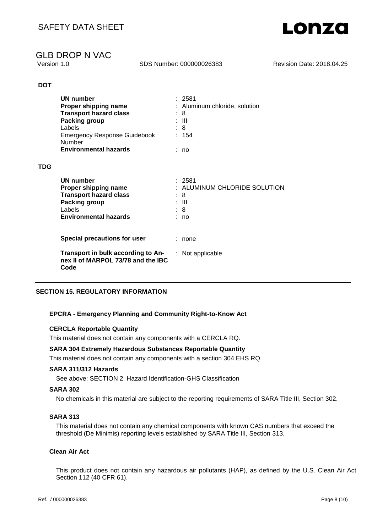SDS Number: 000000026383 Revision Date: 2018.04.25

### **DOT**

**TDG**

| UN number<br>Proper shipping name<br><b>Transport hazard class</b><br>Packing group<br>Labels<br><b>Emergency Response Guidebook</b><br><b>Number</b><br><b>Environmental hazards</b> | -2581<br>Aluminum chloride, solution<br>8<br>- 111<br>8<br>: 154<br>: no |
|---------------------------------------------------------------------------------------------------------------------------------------------------------------------------------------|--------------------------------------------------------------------------|
| UN number<br>Proper shipping name<br><b>Transport hazard class</b><br><b>Packing group</b><br>Labels<br><b>Environmental hazards</b>                                                  | : 2581<br>ALUMINUM CHLORIDE SOLUTION<br>8<br>: III<br>: 8<br>no          |
| Special precautions for user                                                                                                                                                          | none                                                                     |
| Transport in bulk according to An-<br>nex II of MARPOL 73/78 and the IBC<br>Code                                                                                                      | Not applicable                                                           |

### **SECTION 15. REGULATORY INFORMATION**

### **EPCRA - Emergency Planning and Community Right-to-Know Act**

### **CERCLA Reportable Quantity**

This material does not contain any components with a CERCLA RQ.

### **SARA 304 Extremely Hazardous Substances Reportable Quantity**

This material does not contain any components with a section 304 EHS RQ.

#### **SARA 311/312 Hazards**

See above: SECTION 2. Hazard Identification-GHS Classification

#### **SARA 302**

No chemicals in this material are subject to the reporting requirements of SARA Title III, Section 302.

#### **SARA 313**

This material does not contain any chemical components with known CAS numbers that exceed the threshold (De Minimis) reporting levels established by SARA Title III, Section 313.

#### **Clean Air Act**

This product does not contain any hazardous air pollutants (HAP), as defined by the U.S. Clean Air Act Section 112 (40 CFR 61).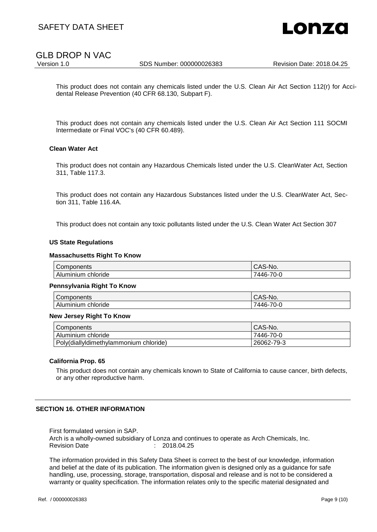

SDS Number: 000000026383 Revision Date: 2018.04.25

This product does not contain any chemicals listed under the U.S. Clean Air Act Section 112(r) for Accidental Release Prevention (40 CFR 68.130, Subpart F).

This product does not contain any chemicals listed under the U.S. Clean Air Act Section 111 SOCMI Intermediate or Final VOC's (40 CFR 60.489).

### **Clean Water Act**

This product does not contain any Hazardous Chemicals listed under the U.S. CleanWater Act, Section 311, Table 117.3.

This product does not contain any Hazardous Substances listed under the U.S. CleanWater Act, Section 311, Table 116.4A.

This product does not contain any toxic pollutants listed under the U.S. Clean Water Act Section 307

#### **US State Regulations**

#### **Massachusetts Right To Know**

| $\sim$<br>Components | $\cap$ $\cap$ $\cap$<br>S-No.<br>UAJ. |
|----------------------|---------------------------------------|
| Aluminium chloride   | 7446-70-l                             |

#### **Pennsylvania Right To Know**

| Components | CAS-No.                     |
|------------|-----------------------------|
| Aluminium  | $\rightarrow$ $\rightarrow$ |
| chloride   | '446-70-0                   |

#### **New Jersey Right To Know**

| Components                             | <sup>1</sup> CAS-No. |
|----------------------------------------|----------------------|
| Aluminium chloride                     | 7446-70-0            |
| Poly(diallyldimethylammonium chloride) | 26062-79-3           |

#### **California Prop. 65**

This product does not contain any chemicals known to State of California to cause cancer, birth defects, or any other reproductive harm.

#### **SECTION 16. OTHER INFORMATION**

First formulated version in SAP. Arch is a wholly-owned subsidiary of Lonza and continues to operate as Arch Chemicals, Inc. Revision Date : 2018.04.25

The information provided in this Safety Data Sheet is correct to the best of our knowledge, information and belief at the date of its publication. The information given is designed only as a guidance for safe handling, use, processing, storage, transportation, disposal and release and is not to be considered a warranty or quality specification. The information relates only to the specific material designated and